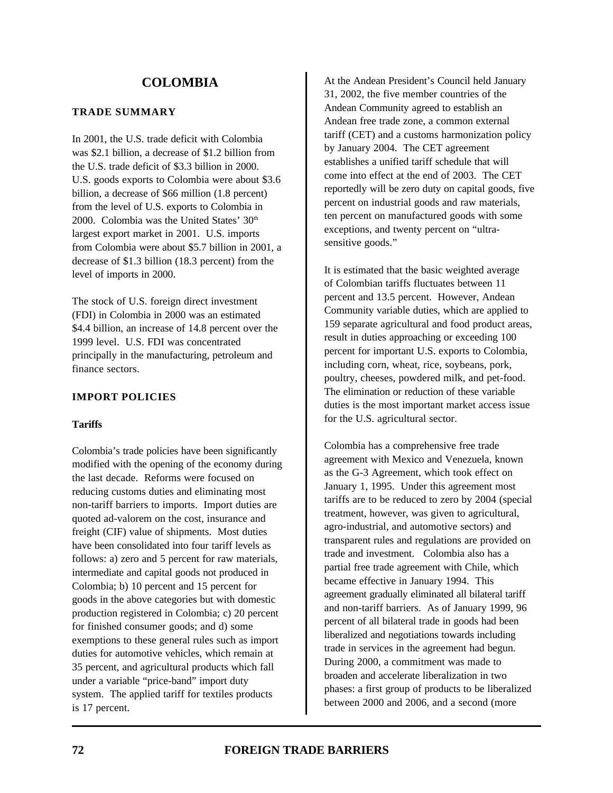#### **TRADE SUMMARY**

In 2001, the U.S. trade deficit with Colombia was \$2.1 billion, a decrease of \$1.2 billion from the U.S. trade deficit of \$3.3 billion in 2000. U.S. goods exports to Colombia were about \$3.6 billion, a decrease of \$66 million (1.8 percent) from the level of U.S. exports to Colombia in 2000. Colombia was the United States'  $30<sup>th</sup>$ largest export market in 2001. U.S. imports from Colombia were about \$5.7 billion in 2001, a decrease of \$1.3 billion (18.3 percent) from the level of imports in 2000.

The stock of U.S. foreign direct investment (FDI) in Colombia in 2000 was an estimated \$4.4 billion, an increase of 14.8 percent over the 1999 level. U.S. FDI was concentrated principally in the manufacturing, petroleum and finance sectors.

## **IMPORT POLICIES**

## **Tariffs**

Colombia's trade policies have been significantly modified with the opening of the economy during the last decade. Reforms were focused on reducing customs duties and eliminating most non-tariff barriers to imports. Import duties are quoted ad-valorem on the cost, insurance and freight (CIF) value of shipments. Most duties have been consolidated into four tariff levels as follows: a) zero and 5 percent for raw materials, intermediate and capital goods not produced in Colombia; b) 10 percent and 15 percent for goods in the above categories but with domestic production registered in Colombia; c) 20 percent for finished consumer goods; and d) some exemptions to these general rules such as import duties for automotive vehicles, which remain at 35 percent, and agricultural products which fall under a variable "price-band" import duty system. The applied tariff for textiles products is 17 percent.

At the Andean President's Council held January 31, 2002, the five member countries of the Andean Community agreed to establish an Andean free trade zone, a common external tariff (CET) and a customs harmonization policy by January 2004. The CET agreement establishes a unified tariff schedule that will come into effect at the end of 2003. The CET reportedly will be zero duty on capital goods, five percent on industrial goods and raw materials, ten percent on manufactured goods with some exceptions, and twenty percent on "ultrasensitive goods."

It is estimated that the basic weighted average of Colombian tariffs fluctuates between 11 percent and 13.5 percent. However, Andean Community variable duties, which are applied to 159 separate agricultural and food product areas, result in duties approaching or exceeding 100 percent for important U.S. exports to Colombia, including corn, wheat, rice, soybeans, pork, poultry, cheeses, powdered milk, and pet-food. The elimination or reduction of these variable duties is the most important market access issue for the U.S. agricultural sector.

Colombia has a comprehensive free trade agreement with Mexico and Venezuela, known as the G-3 Agreement, which took effect on January 1, 1995. Under this agreement most tariffs are to be reduced to zero by 2004 (special treatment, however, was given to agricultural, agro-industrial, and automotive sectors) and transparent rules and regulations are provided on trade and investment. Colombia also has a partial free trade agreement with Chile, which became effective in January 1994. This agreement gradually eliminated all bilateral tariff and non-tariff barriers. As of January 1999, 96 percent of all bilateral trade in goods had been liberalized and negotiations towards including trade in services in the agreement had begun. During 2000, a commitment was made to broaden and accelerate liberalization in two phases: a first group of products to be liberalized between 2000 and 2006, and a second (more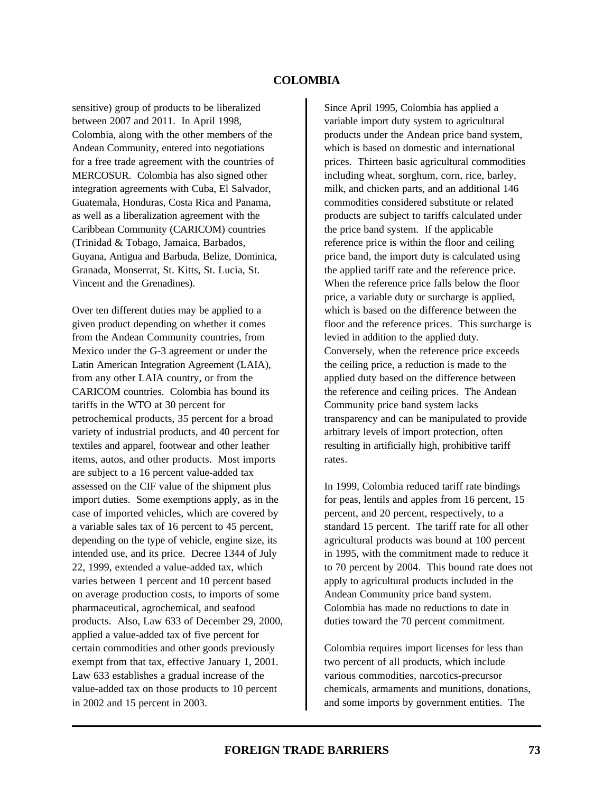sensitive) group of products to be liberalized between 2007 and 2011. In April 1998, Colombia, along with the other members of the Andean Community, entered into negotiations for a free trade agreement with the countries of MERCOSUR. Colombia has also signed other integration agreements with Cuba, El Salvador, Guatemala, Honduras, Costa Rica and Panama, as well as a liberalization agreement with the Caribbean Community (CARICOM) countries (Trinidad & Tobago, Jamaica, Barbados, Guyana, Antigua and Barbuda, Belize, Dominica, Granada, Monserrat, St. Kitts, St. Lucia, St. Vincent and the Grenadines).

Over ten different duties may be applied to a given product depending on whether it comes from the Andean Community countries, from Mexico under the G-3 agreement or under the Latin American Integration Agreement (LAIA), from any other LAIA country, or from the CARICOM countries. Colombia has bound its tariffs in the WTO at 30 percent for petrochemical products, 35 percent for a broad variety of industrial products, and 40 percent for textiles and apparel, footwear and other leather items, autos, and other products. Most imports are subject to a 16 percent value-added tax assessed on the CIF value of the shipment plus import duties. Some exemptions apply, as in the case of imported vehicles, which are covered by a variable sales tax of 16 percent to 45 percent, depending on the type of vehicle, engine size, its intended use, and its price. Decree 1344 of July 22, 1999, extended a value-added tax, which varies between 1 percent and 10 percent based on average production costs, to imports of some pharmaceutical, agrochemical, and seafood products. Also, Law 633 of December 29, 2000, applied a value-added tax of five percent for certain commodities and other goods previously exempt from that tax, effective January 1, 2001. Law 633 establishes a gradual increase of the value-added tax on those products to 10 percent in 2002 and 15 percent in 2003.

Since April 1995, Colombia has applied a variable import duty system to agricultural products under the Andean price band system, which is based on domestic and international prices. Thirteen basic agricultural commodities including wheat, sorghum, corn, rice, barley, milk, and chicken parts, and an additional 146 commodities considered substitute or related products are subject to tariffs calculated under the price band system. If the applicable reference price is within the floor and ceiling price band, the import duty is calculated using the applied tariff rate and the reference price. When the reference price falls below the floor price, a variable duty or surcharge is applied, which is based on the difference between the floor and the reference prices. This surcharge is levied in addition to the applied duty. Conversely, when the reference price exceeds the ceiling price, a reduction is made to the applied duty based on the difference between the reference and ceiling prices. The Andean Community price band system lacks transparency and can be manipulated to provide arbitrary levels of import protection, often resulting in artificially high, prohibitive tariff rates.

In 1999, Colombia reduced tariff rate bindings for peas, lentils and apples from 16 percent, 15 percent, and 20 percent, respectively, to a standard 15 percent. The tariff rate for all other agricultural products was bound at 100 percent in 1995, with the commitment made to reduce it to 70 percent by 2004. This bound rate does not apply to agricultural products included in the Andean Community price band system. Colombia has made no reductions to date in duties toward the 70 percent commitment.

Colombia requires import licenses for less than two percent of all products, which include various commodities, narcotics-precursor chemicals, armaments and munitions, donations, and some imports by government entities. The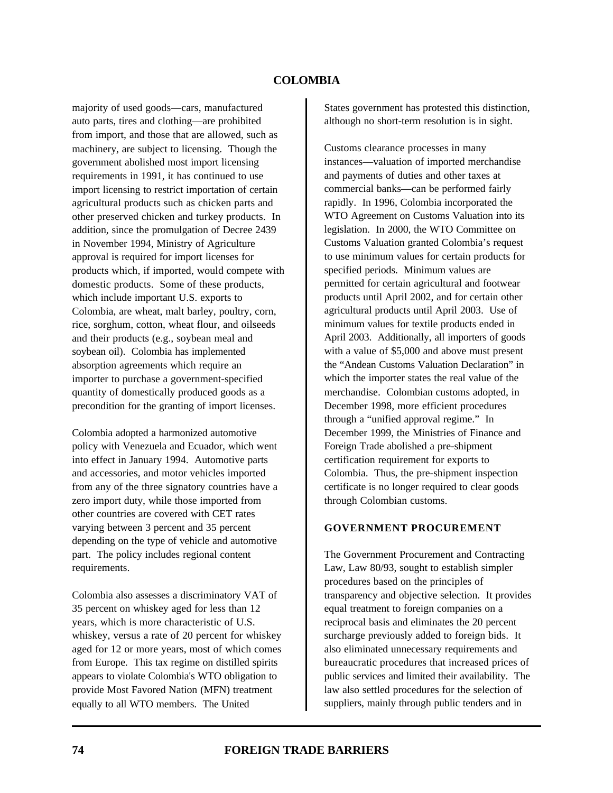majority of used goods—cars, manufactured auto parts, tires and clothing—are prohibited from import, and those that are allowed, such as machinery, are subject to licensing.Though the government abolished most import licensing requirements in 1991, it has continued to use import licensing to restrict importation of certain agricultural products such as chicken parts and other preserved chicken and turkey products. In addition, since the promulgation of Decree 2439 in November 1994, Ministry of Agriculture approval is required for import licenses for products which, if imported, would compete with domestic products. Some of these products, which include important U.S. exports to Colombia, are wheat, malt barley, poultry, corn, rice, sorghum, cotton, wheat flour, and oilseeds and their products (e.g., soybean meal and soybean oil). Colombia has implemented absorption agreements which require an importer to purchase a government-specified quantity of domestically produced goods as a precondition for the granting of import licenses.

Colombia adopted a harmonized automotive policy with Venezuela and Ecuador, which went into effect in January 1994. Automotive parts and accessories, and motor vehicles imported from any of the three signatory countries have a zero import duty, while those imported from other countries are covered with CET rates varying between 3 percent and 35 percent depending on the type of vehicle and automotive part. The policy includes regional content requirements.

Colombia also assesses a discriminatory VAT of 35 percent on whiskey aged for less than 12 years, which is more characteristic of U.S. whiskey, versus a rate of 20 percent for whiskey aged for 12 or more years, most of which comes from Europe. This tax regime on distilled spirits appears to violate Colombia's WTO obligation to provide Most Favored Nation (MFN) treatment equally to all WTO members.The United

States government has protested this distinction, although no short-term resolution is in sight.

Customs clearance processes in many instances—valuation of imported merchandise and payments of duties and other taxes at commercial banks—can be performed fairly rapidly. In 1996, Colombia incorporated the WTO Agreement on Customs Valuation into its legislation. In 2000, the WTO Committee on Customs Valuation granted Colombia's request to use minimum values for certain products for specified periods. Minimum values are permitted for certain agricultural and footwear products until April 2002, and for certain other agricultural products until April 2003. Use of minimum values for textile products ended in April 2003. Additionally, all importers of goods with a value of \$5,000 and above must present the "Andean Customs Valuation Declaration" in which the importer states the real value of the merchandise. Colombian customs adopted, in December 1998, more efficient procedures through a "unified approval regime." In December 1999, the Ministries of Finance and Foreign Trade abolished a pre-shipment certification requirement for exports to Colombia. Thus, the pre-shipment inspection certificate is no longer required to clear goods through Colombian customs.

# **GOVERNMENT PROCUREMENT**

The Government Procurement and Contracting Law, Law 80/93, sought to establish simpler procedures based on the principles of transparency and objective selection. It provides equal treatment to foreign companies on a reciprocal basis and eliminates the 20 percent surcharge previously added to foreign bids. It also eliminated unnecessary requirements and bureaucratic procedures that increased prices of public services and limited their availability. The law also settled procedures for the selection of suppliers, mainly through public tenders and in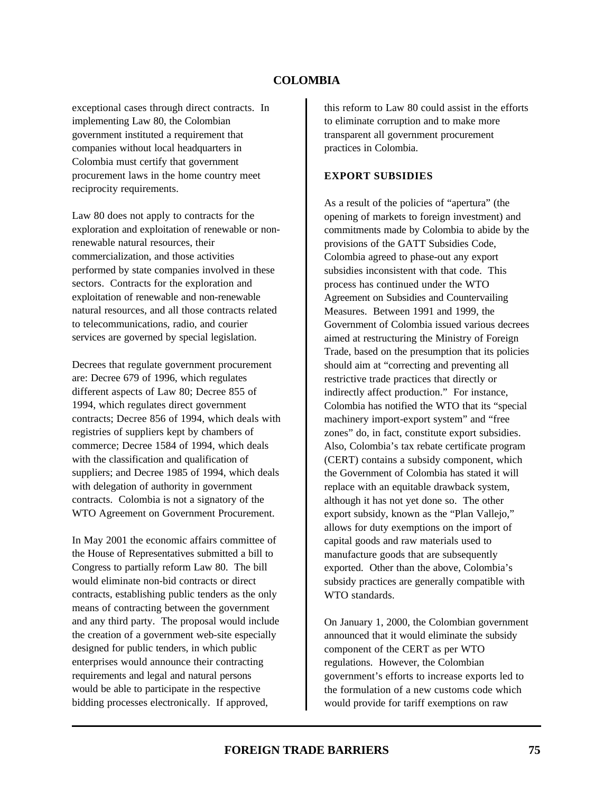exceptional cases through direct contracts. In implementing Law 80, the Colombian government instituted a requirement that companies without local headquarters in Colombia must certify that government procurement laws in the home country meet reciprocity requirements.

Law 80 does not apply to contracts for the exploration and exploitation of renewable or nonrenewable natural resources, their commercialization, and those activities performed by state companies involved in these sectors. Contracts for the exploration and exploitation of renewable and non-renewable natural resources, and all those contracts related to telecommunications, radio, and courier services are governed by special legislation.

Decrees that regulate government procurement are: Decree 679 of 1996, which regulates different aspects of Law 80; Decree 855 of 1994, which regulates direct government contracts; Decree 856 of 1994, which deals with registries of suppliers kept by chambers of commerce; Decree 1584 of 1994, which deals with the classification and qualification of suppliers; and Decree 1985 of 1994, which deals with delegation of authority in government contracts. Colombia is not a signatory of the WTO Agreement on Government Procurement.

In May 2001 the economic affairs committee of the House of Representatives submitted a bill to Congress to partially reform Law 80. The bill would eliminate non-bid contracts or direct contracts, establishing public tenders as the only means of contracting between the government and any third party. The proposal would include the creation of a government web-site especially designed for public tenders, in which public enterprises would announce their contracting requirements and legal and natural persons would be able to participate in the respective bidding processes electronically. If approved,

this reform to Law 80 could assist in the efforts to eliminate corruption and to make more transparent all government procurement practices in Colombia.

#### **EXPORT SUBSIDIES**

As a result of the policies of "apertura" (the opening of markets to foreign investment) and commitments made by Colombia to abide by the provisions of the GATT Subsidies Code, Colombia agreed to phase-out any export subsidies inconsistent with that code. This process has continued under the WTO Agreement on Subsidies and Countervailing Measures. Between 1991 and 1999, the Government of Colombia issued various decrees aimed at restructuring the Ministry of Foreign Trade, based on the presumption that its policies should aim at "correcting and preventing all restrictive trade practices that directly or indirectly affect production." For instance, Colombia has notified the WTO that its "special machinery import-export system" and "free zones" do, in fact, constitute export subsidies. Also, Colombia's tax rebate certificate program (CERT) contains a subsidy component, which the Government of Colombia has stated it will replace with an equitable drawback system, although it has not yet done so. The other export subsidy, known as the "Plan Vallejo," allows for duty exemptions on the import of capital goods and raw materials used to manufacture goods that are subsequently exported. Other than the above, Colombia's subsidy practices are generally compatible with WTO standards.

On January 1, 2000, the Colombian government announced that it would eliminate the subsidy component of the CERT as per WTO regulations. However, the Colombian government's efforts to increase exports led to the formulation of a new customs code which would provide for tariff exemptions on raw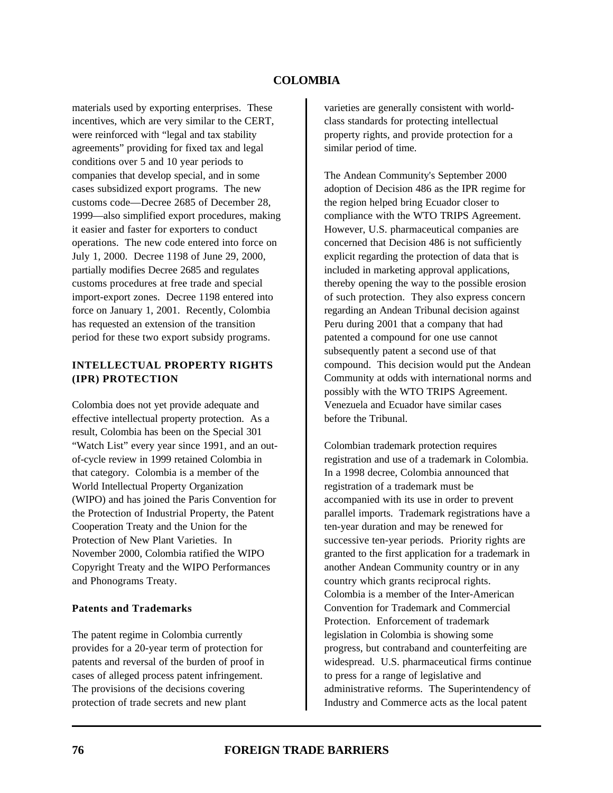materials used by exporting enterprises. These incentives, which are very similar to the CERT, were reinforced with "legal and tax stability agreements" providing for fixed tax and legal conditions over 5 and 10 year periods to companies that develop special, and in some cases subsidized export programs. The new customs code—Decree 2685 of December 28, 1999—also simplified export procedures, making it easier and faster for exporters to conduct operations. The new code entered into force on July 1, 2000. Decree 1198 of June 29, 2000, partially modifies Decree 2685 and regulates customs procedures at free trade and special import-export zones. Decree 1198 entered into force on January 1, 2001. Recently, Colombia has requested an extension of the transition period for these two export subsidy programs.

## **INTELLECTUAL PROPERTY RIGHTS (IPR) PROTECTION**

Colombia does not yet provide adequate and effective intellectual property protection. As a result, Colombia has been on the Special 301 "Watch List" every year since 1991, and an outof-cycle review in 1999 retained Colombia in that category. Colombia is a member of the World Intellectual Property Organization (WIPO) and has joined the Paris Convention for the Protection of Industrial Property, the Patent Cooperation Treaty and the Union for the Protection of New Plant Varieties. In November 2000, Colombia ratified the WIPO Copyright Treaty and the WIPO Performances and Phonograms Treaty.

#### **Patents and Trademarks**

The patent regime in Colombia currently provides for a 20-year term of protection for patents and reversal of the burden of proof in cases of alleged process patent infringement. The provisions of the decisions covering protection of trade secrets and new plant

varieties are generally consistent with worldclass standards for protecting intellectual property rights, and provide protection for a similar period of time.

The Andean Community's September 2000 adoption of Decision 486 as the IPR regime for the region helped bring Ecuador closer to compliance with the WTO TRIPS Agreement. However, U.S. pharmaceutical companies are concerned that Decision 486 is not sufficiently explicit regarding the protection of data that is included in marketing approval applications, thereby opening the way to the possible erosion of such protection. They also express concern regarding an Andean Tribunal decision against Peru during 2001 that a company that had patented a compound for one use cannot subsequently patent a second use of that compound. This decision would put the Andean Community at odds with international norms and possibly with the WTO TRIPS Agreement. Venezuela and Ecuador have similar cases before the Tribunal.

Colombian trademark protection requires registration and use of a trademark in Colombia. In a 1998 decree, Colombia announced that registration of a trademark must be accompanied with its use in order to prevent parallel imports. Trademark registrations have a ten-year duration and may be renewed for successive ten-year periods. Priority rights are granted to the first application for a trademark in another Andean Community country or in any country which grants reciprocal rights. Colombia is a member of the Inter-American Convention for Trademark and Commercial Protection. Enforcement of trademark legislation in Colombia is showing some progress, but contraband and counterfeiting are widespread. U.S. pharmaceutical firms continue to press for a range of legislative and administrative reforms. The Superintendency of Industry and Commerce acts as the local patent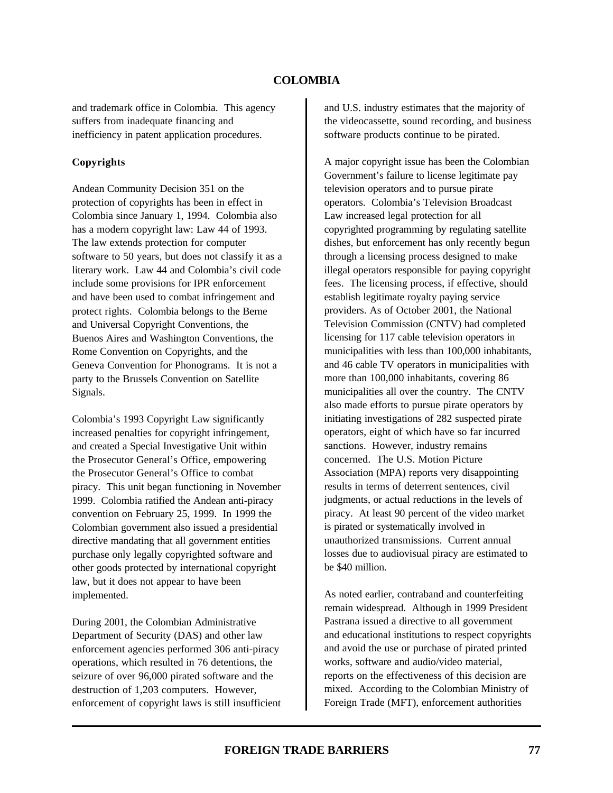and trademark office in Colombia. This agency suffers from inadequate financing and inefficiency in patent application procedures.

## **Copyrights**

Andean Community Decision 351 on the protection of copyrights has been in effect in Colombia since January 1, 1994. Colombia also has a modern copyright law: Law 44 of 1993. The law extends protection for computer software to 50 years, but does not classify it as a literary work. Law 44 and Colombia's civil code include some provisions for IPR enforcement and have been used to combat infringement and protect rights.Colombia belongs to the Berne and Universal Copyright Conventions, the Buenos Aires and Washington Conventions, the Rome Convention on Copyrights, and the Geneva Convention for Phonograms. It is not a party to the Brussels Convention on Satellite Signals.

Colombia's 1993 Copyright Law significantly increased penalties for copyright infringement, and created a Special Investigative Unit within the Prosecutor General's Office, empowering the Prosecutor General's Office to combat piracy. This unit began functioning in November 1999. Colombia ratified the Andean anti-piracy convention on February 25, 1999. In 1999 the Colombian government also issued a presidential directive mandating that all government entities purchase only legally copyrighted software and other goods protected by international copyright law, but it does not appear to have been implemented.

During 2001, the Colombian Administrative Department of Security (DAS) and other law enforcement agencies performed 306 anti-piracy operations, which resulted in 76 detentions, the seizure of over 96,000 pirated software and the destruction of 1,203 computers. However, enforcement of copyright laws is still insufficient and U.S. industry estimates that the majority of the videocassette, sound recording, and business software products continue to be pirated.

A major copyright issue has been the Colombian Government's failure to license legitimate pay television operators and to pursue pirate operators. Colombia's Television Broadcast Law increased legal protection for all copyrighted programming by regulating satellite dishes, but enforcement has only recently begun through a licensing process designed to make illegal operators responsible for paying copyright fees. The licensing process, if effective, should establish legitimate royalty paying service providers. As of October 2001, the National Television Commission (CNTV) had completed licensing for 117 cable television operators in municipalities with less than 100,000 inhabitants, and 46 cable TV operators in municipalities with more than 100,000 inhabitants, covering 86 municipalities all over the country. The CNTV also made efforts to pursue pirate operators by initiating investigations of 282 suspected pirate operators, eight of which have so far incurred sanctions. However, industry remains concerned. The U.S. Motion Picture Association (MPA) reports very disappointing results in terms of deterrent sentences, civil judgments, or actual reductions in the levels of piracy. At least 90 percent of the video market is pirated or systematically involved in unauthorized transmissions. Current annual losses due to audiovisual piracy are estimated to be \$40 million.

As noted earlier, contraband and counterfeiting remain widespread. Although in 1999 President Pastrana issued a directive to all government and educational institutions to respect copyrights and avoid the use or purchase of pirated printed works, software and audio/video material, reports on the effectiveness of this decision are mixed. According to the Colombian Ministry of Foreign Trade (MFT), enforcement authorities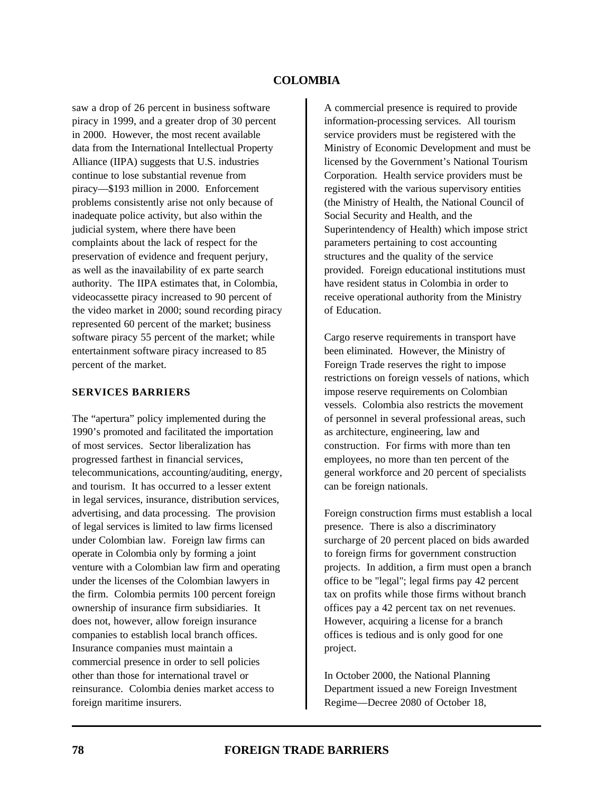saw a drop of 26 percent in business software piracy in 1999, and a greater drop of 30 percent in 2000. However, the most recent available data from the International Intellectual Property Alliance (IIPA) suggests that U.S. industries continue to lose substantial revenue from piracy—\$193 million in 2000. Enforcement problems consistently arise not only because of inadequate police activity, but also within the judicial system, where there have been complaints about the lack of respect for the preservation of evidence and frequent perjury, as well as the inavailability of ex parte search authority. The IIPA estimates that, in Colombia, videocassette piracy increased to 90 percent of the video market in 2000; sound recording piracy represented 60 percent of the market; business software piracy 55 percent of the market; while entertainment software piracy increased to 85 percent of the market.

#### **SERVICES BARRIERS**

The "apertura" policy implemented during the 1990's promoted and facilitated the importation of most services. Sector liberalization has progressed farthest in financial services, telecommunications, accounting/auditing, energy, and tourism. It has occurred to a lesser extent in legal services, insurance, distribution services, advertising, and data processing. The provision of legal services is limited to law firms licensed under Colombian law. Foreign law firms can operate in Colombia only by forming a joint venture with a Colombian law firm and operating under the licenses of the Colombian lawyers in the firm. Colombia permits 100 percent foreign ownership of insurance firm subsidiaries. It does not, however, allow foreign insurance companies to establish local branch offices. Insurance companies must maintain a commercial presence in order to sell policies other than those for international travel or reinsurance. Colombia denies market access to foreign maritime insurers.

A commercial presence is required to provide information-processing services. All tourism service providers must be registered with the Ministry of Economic Development and must be licensed by the Government's National Tourism Corporation. Health service providers must be registered with the various supervisory entities (the Ministry of Health, the National Council of Social Security and Health, and the Superintendency of Health) which impose strict parameters pertaining to cost accounting structures and the quality of the service provided. Foreign educational institutions must have resident status in Colombia in order to receive operational authority from the Ministry of Education.

Cargo reserve requirements in transport have been eliminated. However, the Ministry of Foreign Trade reserves the right to impose restrictions on foreign vessels of nations, which impose reserve requirements on Colombian vessels. Colombia also restricts the movement of personnel in several professional areas, such as architecture, engineering, law and construction. For firms with more than ten employees, no more than ten percent of the general workforce and 20 percent of specialists can be foreign nationals.

Foreign construction firms must establish a local presence. There is also a discriminatory surcharge of 20 percent placed on bids awarded to foreign firms for government construction projects. In addition, a firm must open a branch office to be "legal"; legal firms pay 42 percent tax on profits while those firms without branch offices pay a 42 percent tax on net revenues. However, acquiring a license for a branch offices is tedious and is only good for one project.

In October 2000, the National Planning Department issued a new Foreign Investment Regime—Decree 2080 of October 18,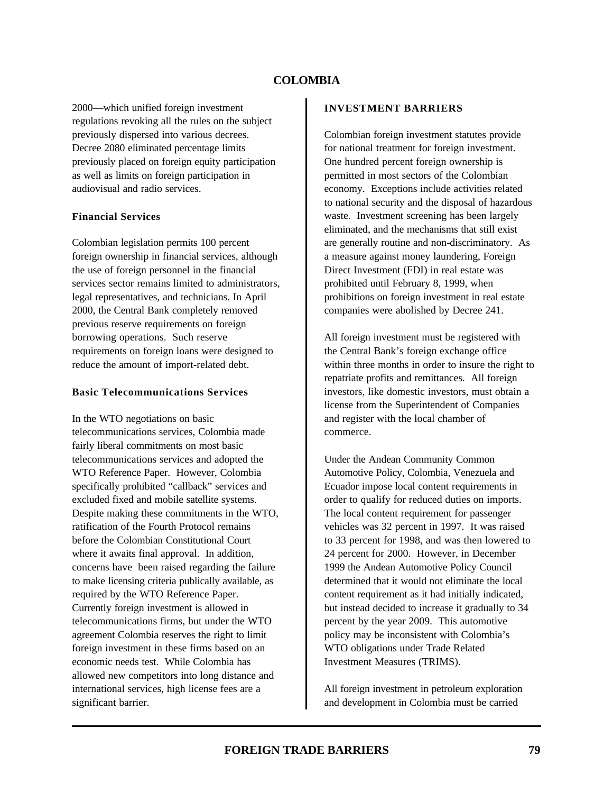2000—which unified foreign investment regulations revoking all the rules on the subject previously dispersed into various decrees. Decree 2080 eliminated percentage limits previously placed on foreign equity participation as well as limits on foreign participation in audiovisual and radio services.

#### **Financial Services**

Colombian legislation permits 100 percent foreign ownership in financial services, although the use of foreign personnel in the financial services sector remains limited to administrators, legal representatives, and technicians. In April 2000, the Central Bank completely removed previous reserve requirements on foreign borrowing operations. Such reserve requirements on foreign loans were designed to reduce the amount of import-related debt.

#### **Basic Telecommunications Services**

In the WTO negotiations on basic telecommunications services, Colombia made fairly liberal commitments on most basic telecommunications services and adopted the WTO Reference Paper. However, Colombia specifically prohibited "callback" services and excluded fixed and mobile satellite systems. Despite making these commitments in the WTO, ratification of the Fourth Protocol remains before the Colombian Constitutional Court where it awaits final approval. In addition, concerns have been raised regarding the failure to make licensing criteria publically available, as required by the WTO Reference Paper. Currently foreign investment is allowed in telecommunications firms, but under the WTO agreement Colombia reserves the right to limit foreign investment in these firms based on an economic needs test. While Colombia has allowed new competitors into long distance and international services, high license fees are a significant barrier.

#### **INVESTMENT BARRIERS**

Colombian foreign investment statutes provide for national treatment for foreign investment. One hundred percent foreign ownership is permitted in most sectors of the Colombian economy. Exceptions include activities related to national security and the disposal of hazardous waste. Investment screening has been largely eliminated, and the mechanisms that still exist are generally routine and non-discriminatory. As a measure against money laundering, Foreign Direct Investment (FDI) in real estate was prohibited until February 8, 1999, when prohibitions on foreign investment in real estate companies were abolished by Decree 241.

All foreign investment must be registered with the Central Bank's foreign exchange office within three months in order to insure the right to repatriate profits and remittances. All foreign investors, like domestic investors, must obtain a license from the Superintendent of Companies and register with the local chamber of commerce.

Under the Andean Community Common Automotive Policy, Colombia, Venezuela and Ecuador impose local content requirements in order to qualify for reduced duties on imports. The local content requirement for passenger vehicles was 32 percent in 1997. It was raised to 33 percent for 1998, and was then lowered to 24 percent for 2000. However, in December 1999 the Andean Automotive Policy Council determined that it would not eliminate the local content requirement as it had initially indicated, but instead decided to increase it gradually to 34 percent by the year 2009. This automotive policy may be inconsistent with Colombia's WTO obligations under Trade Related Investment Measures (TRIMS).

All foreign investment in petroleum exploration and development in Colombia must be carried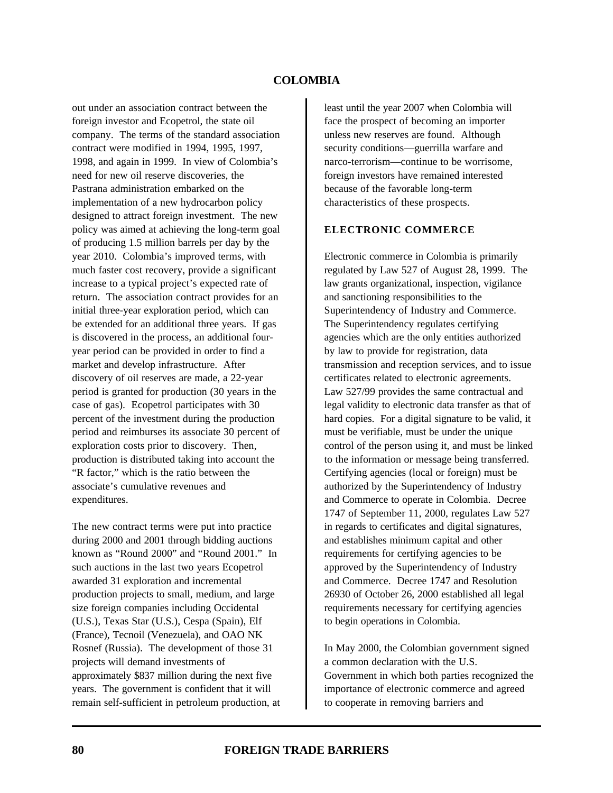out under an association contract between the foreign investor and Ecopetrol, the state oil company. The terms of the standard association contract were modified in 1994, 1995, 1997, 1998, and again in 1999. In view of Colombia's need for new oil reserve discoveries, the Pastrana administration embarked on the implementation of a new hydrocarbon policy designed to attract foreign investment. The new policy was aimed at achieving the long-term goal of producing 1.5 million barrels per day by the year 2010. Colombia's improved terms, with much faster cost recovery, provide a significant increase to a typical project's expected rate of return. The association contract provides for an initial three-year exploration period, which can be extended for an additional three years. If gas is discovered in the process, an additional fouryear period can be provided in order to find a market and develop infrastructure. After discovery of oil reserves are made, a 22-year period is granted for production (30 years in the case of gas). Ecopetrol participates with 30 percent of the investment during the production period and reimburses its associate 30 percent of exploration costs prior to discovery. Then, production is distributed taking into account the "R factor," which is the ratio between the associate's cumulative revenues and expenditures.

The new contract terms were put into practice during 2000 and 2001 through bidding auctions known as "Round 2000" and "Round 2001." In such auctions in the last two years Ecopetrol awarded 31 exploration and incremental production projects to small, medium, and large size foreign companies including Occidental (U.S.), Texas Star (U.S.), Cespa (Spain), Elf (France), Tecnoil (Venezuela), and OAO NK Rosnef (Russia). The development of those 31 projects will demand investments of approximately \$837 million during the next five years. The government is confident that it will remain self-sufficient in petroleum production, at least until the year 2007 when Colombia will face the prospect of becoming an importer unless new reserves are found. Although security conditions—guerrilla warfare and narco-terrorism—continue to be worrisome, foreign investors have remained interested because of the favorable long-term characteristics of these prospects.

#### **ELECTRONIC COMMERCE**

Electronic commerce in Colombia is primarily regulated by Law 527 of August 28, 1999. The law grants organizational, inspection, vigilance and sanctioning responsibilities to the Superintendency of Industry and Commerce. The Superintendency regulates certifying agencies which are the only entities authorized by law to provide for registration, data transmission and reception services, and to issue certificates related to electronic agreements. Law 527/99 provides the same contractual and legal validity to electronic data transfer as that of hard copies. For a digital signature to be valid, it must be verifiable, must be under the unique control of the person using it, and must be linked to the information or message being transferred. Certifying agencies (local or foreign) must be authorized by the Superintendency of Industry and Commerce to operate in Colombia. Decree 1747 of September 11, 2000, regulates Law 527 in regards to certificates and digital signatures, and establishes minimum capital and other requirements for certifying agencies to be approved by the Superintendency of Industry and Commerce. Decree 1747 and Resolution 26930 of October 26, 2000 established all legal requirements necessary for certifying agencies to begin operations in Colombia.

In May 2000, the Colombian government signed a common declaration with the U.S. Government in which both parties recognized the importance of electronic commerce and agreed to cooperate in removing barriers and